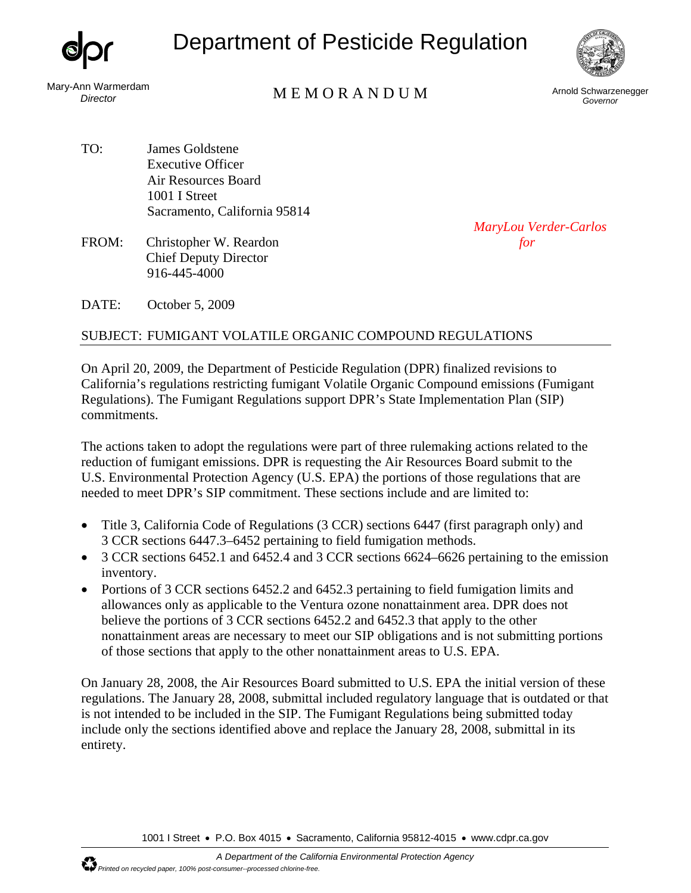

## Department of Pesticide Regulation



Mary-Ann Warmerdam

## nn warmerdam<br>*Director* M E M O R A N D U M Arnold Schwarzenegger

*Governor* 

- TO: James Goldstene Executive Officer Air Resources Board 1001 I Street Sacramento, California 95814
- FROM: Christopher W. Reardon *for* Chief Deputy Director 916-445-4000

*MaryLou Verder-Carlos*

DATE: October 5, 2009

## SUBJECT: FUMIGANT VOLATILE ORGANIC COMPOUND REGULATIONS

On April 20, 2009, the Department of Pesticide Regulation (DPR) finalized revisions to California's regulations restricting fumigant Volatile Organic Compound emissions (Fumigant Regulations). The Fumigant Regulations support DPR's State Implementation Plan (SIP) commitments.

The actions taken to adopt the regulations were part of three rulemaking actions related to the reduction of fumigant emissions. DPR is requesting the Air Resources Board submit to the U.S. Environmental Protection Agency (U.S. EPA) the portions of those regulations that are needed to meet DPR's SIP commitment. These sections include and are limited to:

- Title 3, California Code of Regulations (3 CCR) sections 6447 (first paragraph only) and 3 CCR sections 6447.3–6452 pertaining to field fumigation methods.
- 3 CCR sections 6452.1 and 6452.4 and 3 CCR sections 6624–6626 pertaining to the emission inventory.
- Portions of 3 CCR sections 6452.2 and 6452.3 pertaining to field fumigation limits and allowances only as applicable to the Ventura ozone nonattainment area. DPR does not believe the portions of 3 CCR sections 6452.2 and 6452.3 that apply to the other nonattainment areas are necessary to meet our SIP obligations and is not submitting portions of those sections that apply to the other nonattainment areas to U.S. EPA.

On January 28, 2008, the Air Resources Board submitted to U.S. EPA the initial version of these regulations. The January 28, 2008, submittal included regulatory language that is outdated or that is not intended to be included in the SIP. The Fumigant Regulations being submitted today include only the sections identified above and replace the January 28, 2008, submittal in its entirety.

1001 I Street • P.O. Box 4015 • Sacramento, California 95812-4015 • www.cdpr.ca.gov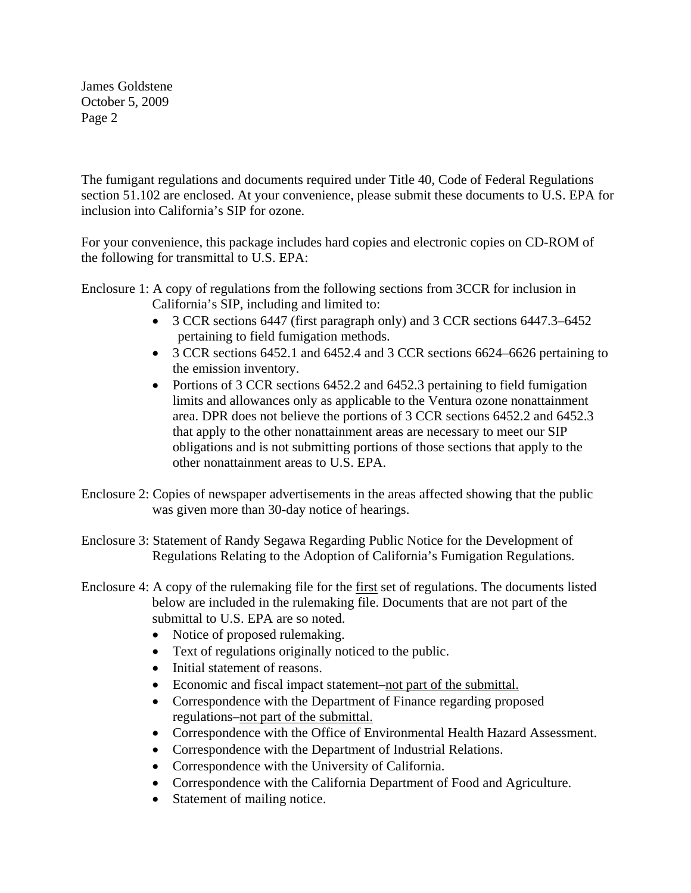James Goldstene October 5, 2009 Page 2

The fumigant regulations and documents required under Title 40, Code of Federal Regulations section 51.102 are enclosed. At your convenience, please submit these documents to U.S. EPA for inclusion into California's SIP for ozone.

For your convenience, this package includes hard copies and electronic copies on CD-ROM of the following for transmittal to U.S. EPA:

Enclosure 1: A copy of regulations from the following sections from 3CCR for inclusion in California's SIP, including and limited to:

- 3 CCR sections 6447 (first paragraph only) and 3 CCR sections 6447.3–6452 pertaining to field fumigation methods.
- 3 CCR sections 6452.1 and 6452.4 and 3 CCR sections 6624–6626 pertaining to the emission inventory.
- Portions of 3 CCR sections 6452.2 and 6452.3 pertaining to field fumigation limits and allowances only as applicable to the Ventura ozone nonattainment area. DPR does not believe the portions of 3 CCR sections 6452.2 and 6452.3 that apply to the other nonattainment areas are necessary to meet our SIP obligations and is not submitting portions of those sections that apply to the other nonattainment areas to U.S. EPA.
- Enclosure 2: Copies of newspaper advertisements in the areas affected showing that the public was given more than 30-day notice of hearings.
- Enclosure 3: Statement of Randy Segawa Regarding Public Notice for the Development of Regulations Relating to the Adoption of California's Fumigation Regulations.
- Enclosure 4: A copy of the rulemaking file for the first set of regulations. The documents listed below are included in the rulemaking file. Documents that are not part of the submittal to U.S. EPA are so noted.
	- Notice of proposed rulemaking.
	- Text of regulations originally noticed to the public.
	- Initial statement of reasons.
	- Economic and fiscal impact statement–not part of the submittal.
	- Correspondence with the Department of Finance regarding proposed regulations–not part of the submittal.
	- Correspondence with the Office of Environmental Health Hazard Assessment.
	- Correspondence with the Department of Industrial Relations.
	- Correspondence with the University of California.
	- Correspondence with the California Department of Food and Agriculture.
	- Statement of mailing notice.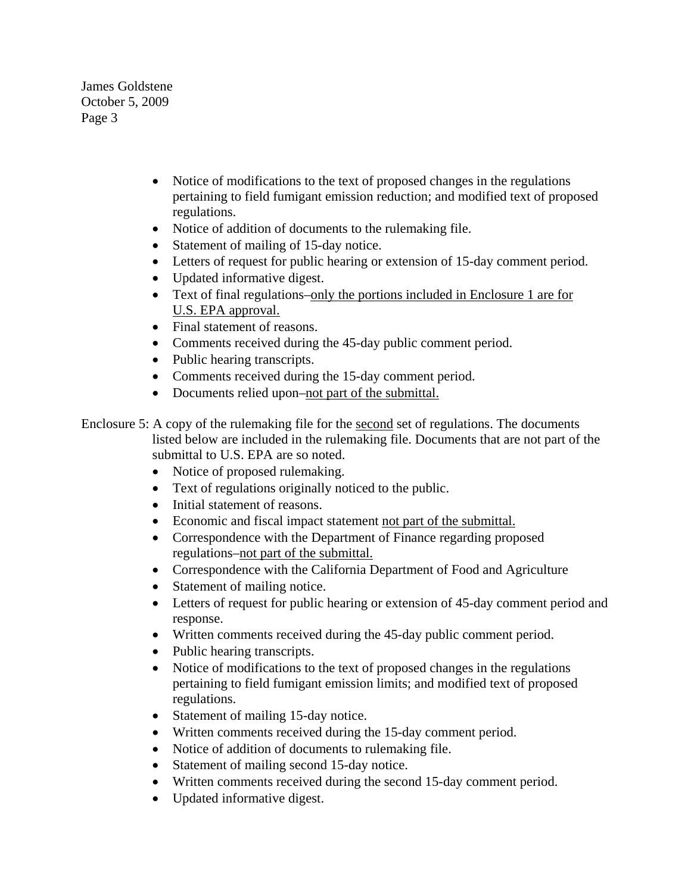James Goldstene October 5, 2009 Page 3

- Notice of modifications to the text of proposed changes in the regulations pertaining to field fumigant emission reduction; and modified text of proposed regulations.
- Notice of addition of documents to the rulemaking file.
- Statement of mailing of 15-day notice.
- Letters of request for public hearing or extension of 15-day comment period.
- Updated informative digest.
- Text of final regulations–only the portions included in Enclosure 1 are for U.S. EPA approval.
- Final statement of reasons.
- Comments received during the 45-day public comment period.
- Public hearing transcripts.
- Comments received during the 15-day comment period.
- Documents relied upon–not part of the submittal.
- Enclosure 5: A copy of the rulemaking file for the second set of regulations. The documents listed below are included in the rulemaking file. Documents that are not part of the submittal to U.S. EPA are so noted.
	- Notice of proposed rulemaking.
	- Text of regulations originally noticed to the public.
	- Initial statement of reasons.
	- Economic and fiscal impact statement not part of the submittal.
	- Correspondence with the Department of Finance regarding proposed regulations–not part of the submittal.
	- Correspondence with the California Department of Food and Agriculture
	- Statement of mailing notice.
	- Letters of request for public hearing or extension of 45-day comment period and response.
	- Written comments received during the 45-day public comment period.
	- Public hearing transcripts.
	- Notice of modifications to the text of proposed changes in the regulations pertaining to field fumigant emission limits; and modified text of proposed regulations.
	- Statement of mailing 15-day notice.
	- Written comments received during the 15-day comment period.
	- Notice of addition of documents to rulemaking file.
	- Statement of mailing second 15-day notice.
	- Written comments received during the second 15-day comment period.
	- Updated informative digest.